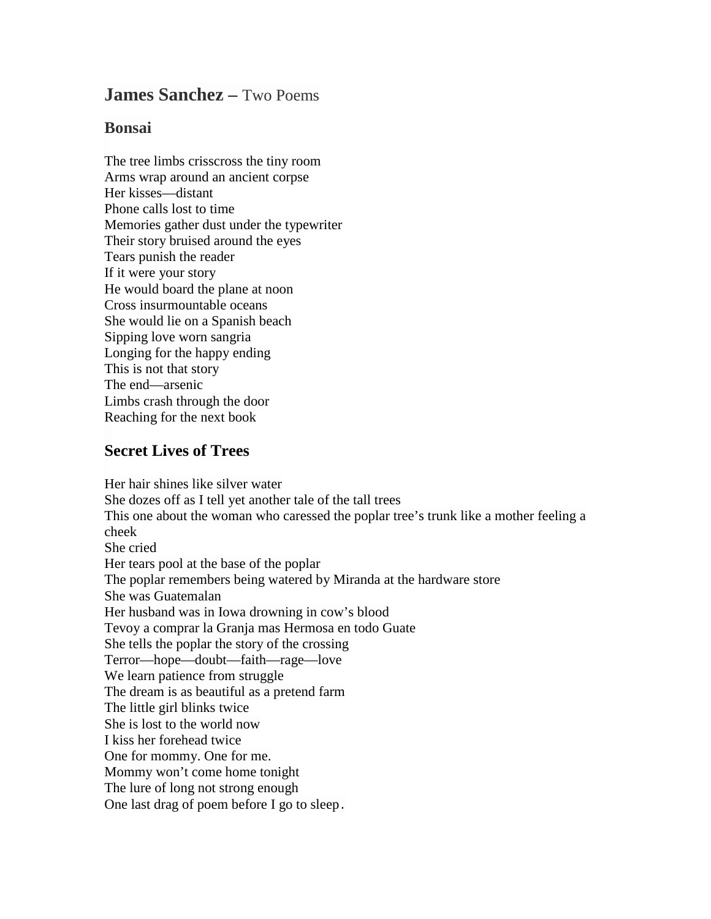## **James Sanchez –** Two Poems

## **Bonsai**

The tree limbs crisscross the tiny room Arms wrap around an ancient corpse Her kisses—distant Phone calls lost to time Memories gather dust under the typewriter Their story bruised around the eyes Tears punish the reader If it were your story He would board the plane at noon Cross insurmountable oceans She would lie on a Spanish beach Sipping love worn sangria Longing for the happy ending This is not that story The end—arsenic Limbs crash through the door Reaching for the next book

## **Secret Lives of Trees**

Her hair shines like silver water She dozes off as I tell yet another tale of the tall trees This one about the woman who caressed the poplar tree's trunk like a mother feeling a cheek She cried Her tears pool at the base of the poplar The poplar remembers being watered by Miranda at the hardware store She was Guatemalan Her husband was in Iowa drowning in cow's blood Tevoy a comprar la Granja mas Hermosa en todo Guate She tells the poplar the story of the crossing Terror—hope—doubt—faith—rage—love We learn patience from struggle The dream is as beautiful as a pretend farm The little girl blinks twice She is lost to the world now I kiss her forehead twice One for mommy. One for me. Mommy won't come home tonight The lure of long not strong enough One last drag of poem before I go to sleep.